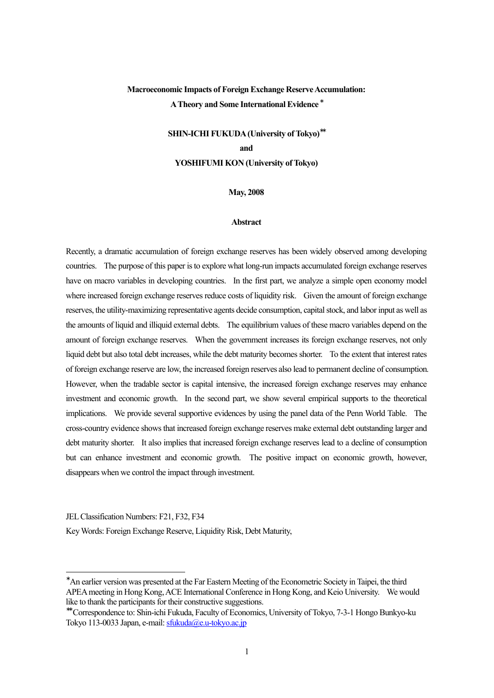# **Macroeconomic Impacts of Foreign Exchange Reserve Accumulation: A Theory and Some International Evidence \***

# **SHIN-ICHI FUKUDA (University of Tokyo)\*\* and YOSHIFUMI KON (University of Tokyo)**

## **May, 2008**

## **Abstract**

Recently, a dramatic accumulation of foreign exchange reserves has been widely observed among developing countries. The purpose of this paper is to explore what long-run impacts accumulated foreign exchange reserves have on macro variables in developing countries. In the first part, we analyze a simple open economy model where increased foreign exchange reserves reduce costs of liquidity risk. Given the amount of foreign exchange reserves, the utility-maximizing representative agents decide consumption, capital stock, and labor input as well as the amounts of liquid and illiquid external debts. The equilibrium values of these macro variables depend on the amount of foreign exchange reserves. When the government increases its foreign exchange reserves, not only liquid debt but also total debt increases, while the debt maturity becomes shorter. To the extent that interest rates of foreign exchange reserve are low, the increased foreign reserves also lead to permanent decline of consumption. However, when the tradable sector is capital intensive, the increased foreign exchange reserves may enhance investment and economic growth. In the second part, we show several empirical supports to the theoretical implications. We provide several supportive evidences by using the panel data of the Penn World Table. The cross-country evidence shows that increased foreign exchange reserves make external debt outstanding larger and debt maturity shorter. It also implies that increased foreign exchange reserves lead to a decline of consumption but can enhance investment and economic growth. The positive impact on economic growth, however, disappears when we control the impact through investment.

JEL Classification Numbers: F21, F32, F34

 $\overline{a}$ 

Key Words: Foreign Exchange Reserve, Liquidity Risk, Debt Maturity,

<sup>∗</sup>An earlier version was presented at the Far Eastern Meeting of the Econometric Society in Taipei, the third APEA meeting in Hong Kong, ACE International Conference in Hong Kong, and Keio University. We would like to thank the participants for their constructive suggestions.

<sup>∗∗</sup> Correspondence to: Shin-ichi Fukuda, Faculty of Economics, University of Tokyo, 7-3-1 Hongo Bunkyo-ku Tokyo 113-0033 Japan, e-mail: sfukuda@e.u-tokyo.ac.jp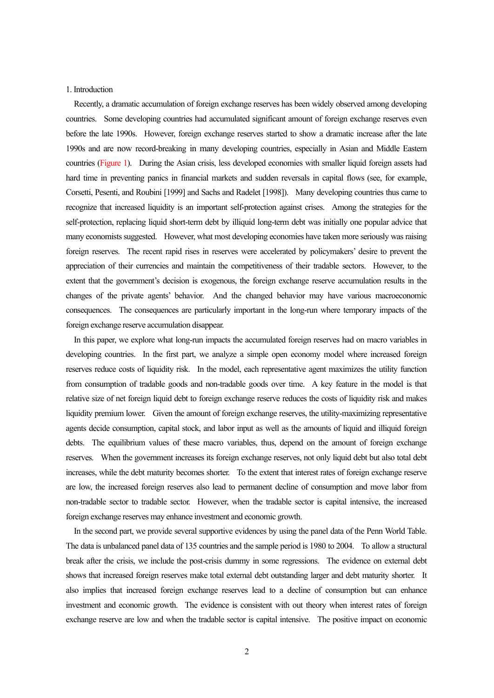### 1. Introduction

Recently, a dramatic accumulation of foreign exchange reserves has been widely observed among developing countries. Some developing countries had accumulated significant amount of foreign exchange reserves even before the late 1990s. However, foreign exchange reserves started to show a dramatic increase after the late 1990s and are now record-breaking in many developing countries, especially in Asian and Middle Eastern countries (Figure 1). During the Asian crisis, less developed economies with smaller liquid foreign assets had hard time in preventing panics in financial markets and sudden reversals in capital flows (see, for example, Corsetti, Pesenti, and Roubini [1999] and Sachs and Radelet [1998]). Many developing countries thus came to recognize that increased liquidity is an important self-protection against crises. Among the strategies for the self-protection, replacing liquid short-term debt by illiquid long-term debt was initially one popular advice that many economists suggested. However, what most developing economies have taken more seriously was raising foreign reserves. The recent rapid rises in reserves were accelerated by policymakers' desire to prevent the appreciation of their currencies and maintain the competitiveness of their tradable sectors. However, to the extent that the government's decision is exogenous, the foreign exchange reserve accumulation results in the changes of the private agents' behavior. And the changed behavior may have various macroeconomic consequences. The consequences are particularly important in the long-run where temporary impacts of the foreign exchange reserve accumulation disappear.

In this paper, we explore what long-run impacts the accumulated foreign reserves had on macro variables in developing countries. In the first part, we analyze a simple open economy model where increased foreign reserves reduce costs of liquidity risk. In the model, each representative agent maximizes the utility function from consumption of tradable goods and non-tradable goods over time. A key feature in the model is that relative size of net foreign liquid debt to foreign exchange reserve reduces the costs of liquidity risk and makes liquidity premium lower. Given the amount of foreign exchange reserves, the utility-maximizing representative agents decide consumption, capital stock, and labor input as well as the amounts of liquid and illiquid foreign debts. The equilibrium values of these macro variables, thus, depend on the amount of foreign exchange reserves. When the government increases its foreign exchange reserves, not only liquid debt but also total debt increases, while the debt maturity becomes shorter. To the extent that interest rates of foreign exchange reserve are low, the increased foreign reserves also lead to permanent decline of consumption and move labor from non-tradable sector to tradable sector. However, when the tradable sector is capital intensive, the increased foreign exchange reserves may enhance investment and economic growth.

In the second part, we provide several supportive evidences by using the panel data of the Penn World Table. The data is unbalanced panel data of 135 countries and the sample period is 1980 to 2004. To allow a structural break after the crisis, we include the post-crisis dummy in some regressions. The evidence on external debt shows that increased foreign reserves make total external debt outstanding larger and debt maturity shorter. It also implies that increased foreign exchange reserves lead to a decline of consumption but can enhance investment and economic growth. The evidence is consistent with out theory when interest rates of foreign exchange reserve are low and when the tradable sector is capital intensive. The positive impact on economic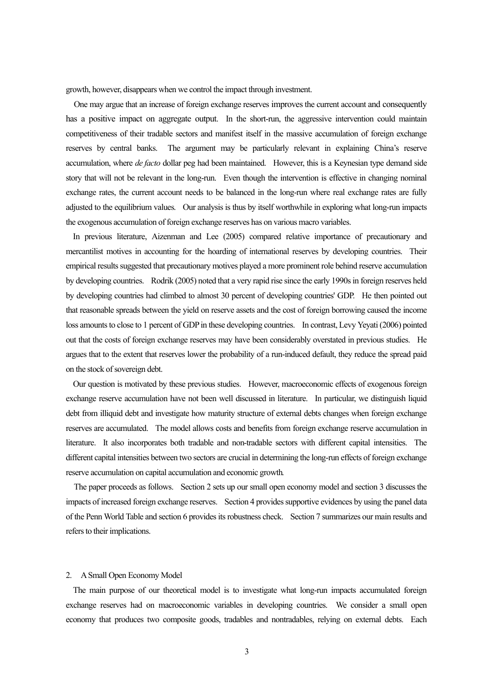growth, however, disappears when we control the impact through investment.

One may argue that an increase of foreign exchange reserves improvesthe current account and consequently has a positive impact on aggregate output. In the short-run, the aggressive intervention could maintain competitiveness of their tradable sectors and manifest itself in the massive accumulation of foreign exchange reserves by central banks. The argument may be particularly relevant in explaining China's reserve accumulation, where *de facto* dollar peg had been maintained. However, this is a Keynesian type demand side story that will not be relevant in the long-run. Even though the intervention is effective in changing nominal exchange rates, the current account needs to be balanced in the long-run where real exchange rates are fully adjusted to the equilibrium values. Our analysis is thus by itself worthwhile in exploring what long-run impacts the exogenous accumulation of foreign exchange reserves has on various macro variables.

 In previous literature, Aizenman and Lee (2005) compared relative importance of precautionary and mercantilist motives in accounting for the hoarding of international reserves by developing countries. Their empirical results suggested that precautionary motives played a more prominent role behind reserve accumulation by developing countries. Rodrik (2005) noted that a very rapid rise since the early 1990s in foreign reserves held by developing countries had climbed to almost 30 percent of developing countries' GDP. He then pointed out that reasonable spreads between the yield on reserve assets and the cost of foreign borrowing caused the income loss amounts to close to 1 percent of GDP in these developing countries. In contrast, Levy Yeyati (2006) pointed out that the costs of foreign exchange reserves may have been considerably overstated in previous studies. He argues that to the extent that reserves lower the probability of a run-induced default, they reduce the spread paid on the stock of sovereign debt.

Our question is motivated by these previous studies. However, macroeconomic effects of exogenous foreign exchange reserve accumulation have not been well discussed in literature. In particular, we distinguish liquid debt from illiquid debt and investigate how maturity structure of external debts changes when foreign exchange reserves are accumulated. The model allows costs and benefits from foreign exchange reserve accumulation in literature. It also incorporates both tradable and non-tradable sectors with different capital intensities. The different capital intensities between two sectors are crucial in determining the long-run effects of foreign exchange reserve accumulation on capital accumulation and economic growth.

The paper proceeds as follows. Section 2 sets up our small open economy model and section 3 discusses the impacts of increased foreign exchange reserves. Section 4 providessupportive evidences by using the panel data of the Penn World Table and section 6 provides its robustness check. Section 7 summarizes our main results and refers to their implications.

#### 2. A Small Open Economy Model

The main purpose of our theoretical model is to investigate what long-run impacts accumulated foreign exchange reserves had on macroeconomic variables in developing countries. We consider a small open economy that produces two composite goods, tradables and nontradables, relying on external debts. Each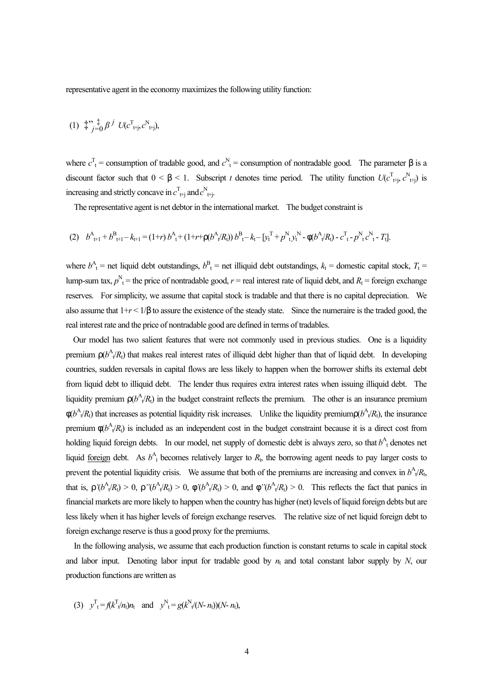representative agent in the economy maximizes the following utility function:

(1) 
$$
\stackrel{+}{\ast} \, {}_{j=0}^{r} \, \beta^j U(c^{\mathrm{T}}_{t+j}, c^{\mathrm{N}}_{t+j}),
$$

where  $c^T_t$  = consumption of tradable good, and  $c^N_t$  = consumption of nontradable good. The parameter  $\beta$  is a discount factor such that  $0 < \beta < 1$ . Subscript *t* denotes time period. The utility function  $U(c^{\text{T}}_{\text{t}^+j}, c^{\text{N}}_{\text{t}^+j})$  is increasing and strictly concave in  $c_{\text{t+j}}^{\text{T}}$  and  $c_{\text{t+j}}^{\text{N}}$ .

The representative agent is net debtor in the international market. The budget constraint is

$$
(2) \t bAt+1 + bBt+1 - kt+1 = (1+r) bAt + (1+r+r(bAt/Rt)) bBt - kt - [ytT + pNtytN - f(bAt/Rt) - cTt - pNtcNt - Tt].
$$

where  $b^A$ <sup>t</sup> = net liquid debt outstandings,  $b^B$ <sub>t</sub> = net illiquid debt outstandings,  $k_t$  = domestic capital stock,  $T_t$  = lump-sum tax,  $p_{t}^{N}$  = the price of nontradable good,  $r$  = real interest rate of liquid debt, and  $R_{t}$  = foreign exchange reserves. For simplicity, we assume that capital stock is tradable and that there is no capital depreciation. We also assume that  $1+r < 1/\beta$  to assure the existence of the steady state. Since the numeraire is the traded good, the real interest rate and the price of nontradable good are defined in terms of tradables.

Our model has two salient features that were not commonly used in previous studies. One is a liquidity premium  $r(b^A/k)$  that makes real interest rates of illiquid debt higher than that of liquid debt. In developing countries, sudden reversals in capital flows are less likely to happen when the borrower shifts its external debt from liquid debt to illiquid debt. The lender thus requires extra interest rates when issuing illiquid debt. The liquidity premium  $r(b^A_{\nu}R_t)$  in the budget constraint reflects the premium. The other is an insurance premium  $f(b^A{}_k/R_1)$  that increases as potential liquidity risk increases. Unlike the liquidity premium  $f(b^A{}_k/R_1)$ , the insurance premium  $f(b^A{}_t/R_t)$  is included as an independent cost in the budget constraint because it is a direct cost from holding liquid foreign debts. In our model, net supply of domestic debt is always zero, so that  $b^A$ <sub>t</sub> denotes net liquid <u>foreign</u> debt. As  $b^A$ <sup>t</sup> becomes relatively larger to  $R$ <sup>t</sup>, the borrowing agent needs to pay larger costs to prevent the potential liquidity crisis. We assume that both of the premiums are increasing and convex in  $b^A$ <sub>t</sub> $R$ <sub>t</sub>, that is,  $\Gamma'(b^A/R_t) > 0$ ,  $\Gamma''(b^A/R_t) > 0$ ,  $\Gamma'(b^A/R_t) > 0$ , and  $\Gamma''(b^A/R_t) > 0$ . This reflects the fact that panics in financial markets are more likely to happen when the country has higher (net) levels of liquid foreign debts but are less likely when it has higher levels of foreign exchange reserves. The relative size of net liquid foreign debt to foreign exchange reserve is thus a good proxy for the premiums.

In the following analysis, we assume that each production function is constant returns to scale in capital stock and labor input. Denoting labor input for tradable good by  $n<sub>t</sub>$  and total constant labor supply by *N*, our production functions are written as

(3) 
$$
y_t^T = f(k_t^T/n_t)n_t
$$
 and  $y_t^N = g(k_t^N/(N - n_t))(N - n_t)$ ,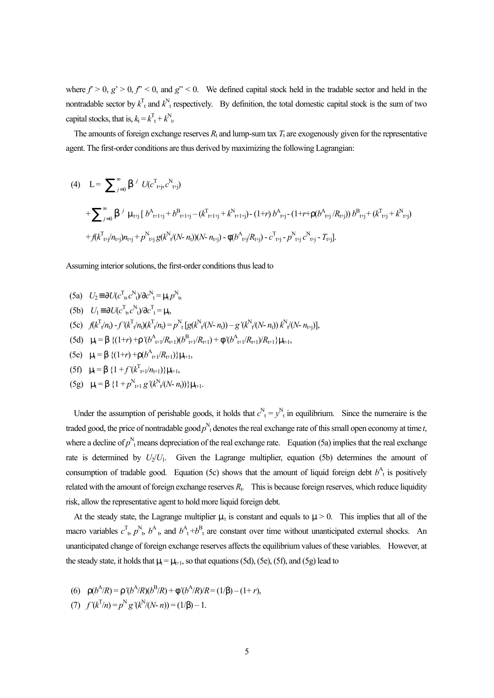where  $f > 0$ ,  $g' > 0$ ,  $f'' < 0$ , and  $g'' < 0$ . We defined capital stock held in the tradable sector and held in the nontradable sector by  $k_{\text{t}}^{\text{T}}$  and  $k_{\text{t}}^{\text{N}}$  respectively. By definition, the total domestic capital stock is the sum of two capital stocks, that is,  $k_t = k_t^T + k_t^N$ .

The amounts of foreign exchange reserves  $R_t$  and lump-sum tax  $T_t$  are exogenously given for the representative agent. The first-order conditions are thus derived by maximizing the following Lagrangian:

(4) 
$$
L = \sum_{j=0}^{\infty} b^{j} U(c^{T}{}_{t+j}, c^{N}{}_{t+j})
$$
  
+
$$
\sum_{j=0}^{\infty} b^{j} m_{t+j} [b^{A}{}_{t+1+j} + b^{B}{}_{t+1+j} - (k^{T}{}_{t+1+j} + k^{N}{}_{t+1+j}) - (1+r) b^{A}{}_{t+j} - (1+r+r(b^{A}{}_{t+j}/R{}_{t+j})) b^{B}{}_{t+j} + (k^{T}{}_{t+j} + k^{N}{}_{t+j})
$$
  
+
$$
f(k^{T}{}_{t+j}/n{}_{t+j})n{}_{t+j} + p^{N}{}_{t+j} g(k^{N}{}_{t}/(N-n{}_{t}))(N-n{}_{t+j}) - f(b^{A}{}_{t+j}/R{}_{t+j}) - c^{T}{}_{t+j} - p^{N}{}_{t+j} c^{N}{}_{t+j} - T{}_{t+j}].
$$

Assuming interior solutions, the first-order conditions thus lead to

- $U_2 \equiv \partial U (c_{t}^{T}, c_{t}^{N})/\partial c_{t}^{N} = m_t p_{t}^{N},$
- $U_1 \equiv \partial U (c_{t}^{\mathrm{T}} c_{t}^{\mathrm{N}})/\partial c_{t}^{\mathrm{T}} = m_t$
- (5c)  $f(k^{\mathrm{T}}\psi/n_1) f'(k^{\mathrm{T}}\psi/n_1)(k^{\mathrm{T}}\psi/n_1) = p^{\mathrm{N}}\left[g(k^{\mathrm{N}}\psi(N-n_1)) g'(k^{\mathrm{N}}\psi(N-n_1))k^{\mathrm{N}}\psi(N-n_{1})\right],$
- (5d)  $m_t = b \{ (1+r) + r \cdot (b^A_{t+1}/R_{t+1}) (b^B_{t+1}/R_{t+1}) + f \cdot (b^A_{t+1}/R_{t+1})/R_{t+1} \} m_{t+1}$
- $(\text{5e})$   $m_t = b \left\{ (1+r) + r(b^A_{t+1}/R_{t+1}) \right\} m_{t+1}$
- $(ff)$   $m_t = b \{1 + f'(k_{t+1}^T/n_{t+1})\}m_{t+1},$
- $(\text{5g})$   $m_t = b \{1 + p^N_{t+1} g'(k^N_t(N-n_t))\}m_{t+1}.$

Under the assumption of perishable goods, it holds that  $c^N_t = y^N_t$  in equilibrium. Since the numeraire is the traded good, the price of nontradable good  $p_{t}^{N}$  denotes the real exchange rate of this small open economy at time *t*, where a decline of  $p^N$ <sub>t</sub> means depreciation of the real exchange rate. Equation (5a) implies that the real exchange rate is determined by  $U_2/U_1$ . Given the Lagrange multiplier, equation (5b) determines the amount of consumption of tradable good. Equation (5c) shows that the amount of liquid foreign debt  $b^A_{\ \ t}$  is positively related with the amount of foreign exchange reserves  $R_t$ . This is because foreign reserves, which reduce liquidity risk, allow the representative agent to hold more liquid foreign debt.

At the steady state, the Lagrange multiplier  $m_t$  is constant and equals to  $m > 0$ . This implies that all of the macro variables  $c_{t}^{T}$ ,  $p_{t}^{N}$ ,  $b_{t}^{A}$ , and  $b_{t}^{A}$  + $b_{t}^{B}$  are constant over time without unanticipated external shocks. An unanticipated change of foreign exchange reserves affects the equilibrium values of these variables. However, at the steady state, it holds that  $m_t = m_{t+1}$ , so that equations (5d), (5e), (5f), and (5g) lead to

- (6)  $r(b^A/R) = r'(b^A/R)(b^B/R) + f'(b^A/R)/R = (1/b) (1+r),$
- (7)  $f'(k^T/n) = p^N g'(k^N/(N-n)) = (1/b) 1.$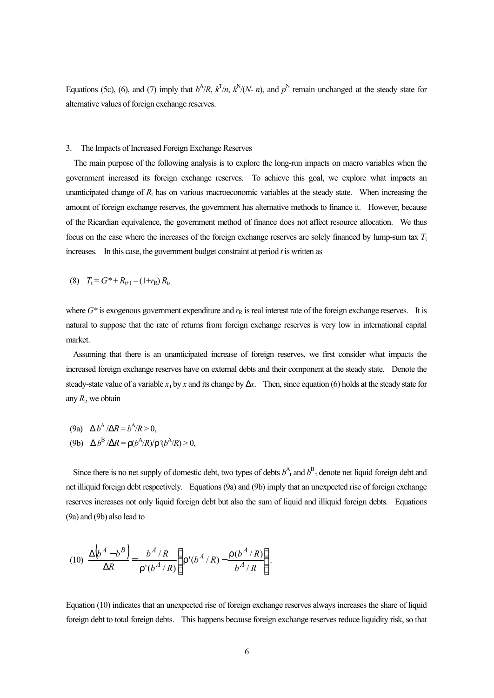Equations (5c), (6), and (7) imply that  $b^A/R$ ,  $k^T/n$ ,  $k^N/(N-n)$ , and  $p^N$  remain unchanged at the steady state for alternative values of foreign exchange reserves.

### 3. The Impacts of Increased Foreign Exchange Reserves

The main purpose of the following analysis is to explore the long-run impacts on macro variables when the government increased its foreign exchange reserves. To achieve this goal, we explore what impacts an unanticipated change of  $R_t$  has on various macroeconomic variables at the steady state. When increasing the amount of foreign exchange reserves, the government has alternative methods to finance it. However, because of the Ricardian equivalence, the government method of finance does not affect resource allocation. We thus focus on the case where the increases of the foreign exchange reserves are solely financed by lump-sum tax  $T_t$ increases. In this case, the government budget constraint at period *t* is written as

(8) 
$$
T_t = G^* + R_{t+1} - (1+r_R)R_t
$$

where  $G^*$  is exogenous government expenditure and  $r_R$  is real interest rate of the foreign exchange reserves. It is natural to suppose that the rate of returns from foreign exchange reserves is very low in international capital market.

Assuming that there is an unanticipated increase of foreign reserves, we first consider what impacts the increased foreign exchange reserves have on external debts and their component at the steady state. Denote the steady-state value of a variable  $x_t$  by  $x$  and its change by  $\Delta x$ . Then, since equation (6) holds at the steady state for any  $R_t$ , we obtain

(9a) 
$$
\Delta b^A / \Delta R = b^A / R > 0
$$
,  
(9b)  $\Delta b^B / \Delta R = r(b^A / R) / r^A / (b^A / R) > 0$ ,

Since there is no net supply of domestic debt, two types of debts  $b^A$ <sub>t</sub> and  $b^B$ <sub>t</sub> denote net liquid foreign debt and net illiquid foreign debt respectively. Equations (9a) and (9b) imply that an unexpected rise of foreign exchange reserves increases not only liquid foreign debt but also the sum of liquid and illiquid foreign debts. Equations (9a) and (9b) also lead to

$$
(10) \frac{\Delta(b^A - b^B)}{\Delta R} = \frac{b^A / R}{\Gamma'(b^A / R)} \left\{ \Gamma'(b^A / R) - \frac{\Gamma(b^A / R)}{b^A / R} \right\}.
$$

Equation (10) indicates that an unexpected rise of foreign exchange reserves always increases the share of liquid foreign debt to total foreign debts. This happens because foreign exchange reserves reduce liquidity risk, so that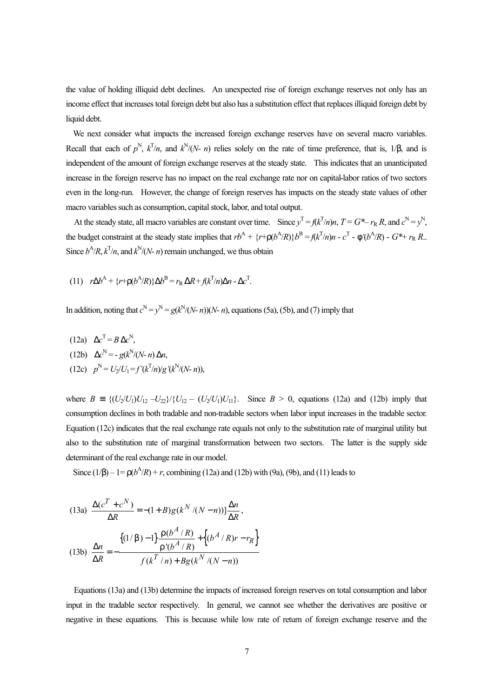the value of holding illiquid debt declines. An unexpected rise of foreign exchange reserves not only has an income effect that increases total foreign debt but also has a substitution effect that replaces illiquid foreign debt by liquid debt.

We next consider what impacts the increased foreign exchange reserves have on several macro variables. Recall that each of  $p^N$ ,  $k^T/n$ , and  $k^N/(N-n)$  relies solely on the rate of time preference, that is, 1/b, and is independent of the amount of foreign exchange reserves at the steady state. This indicates that an unanticipated increase in the foreign reserve has no impact on the real exchange rate nor on capital-labor ratios of two sectors even in the long-run. However, the change of foreign reserves has impacts on the steady state values of other macro variables such as consumption, capital stock, labor, and total output.

At the steady state, all macro variables are constant over time. Since  $y^T = f(k^T/n)n$ ,  $T = G^* - r_R R$ , and  $c^N = y^N$ , the budget constraint at the steady state implies that  $rb^A + \{r + r(b^A/R)\}b^B = f(k^T/n)n - c^T - f'(b^A/R) - G^* + r_R R$ . Since  $b^A/R$ ,  $k^T/n$ , and  $k^N/(N-n)$  remain unchanged, we thus obtain

(11) 
$$
r\Delta b^A + \{r + r(b^A/R)\}\Delta b^B = r_R \Delta R + f(k^T/n)\Delta n - \Delta c^T.
$$

In addition, noting that  $c^N = y^N = g(k^N/(N-n))(N-n)$ , equations (5a), (5b), and (7) imply that

(12a)  $\Delta c^{\text{T}} = B \Delta c^{\text{N}}$ ,  $(12b)$   $\Delta c^N = -g(k^N/(N-n)\Delta n,$  $p^N = U_2/U_1 = f'(k^T/n)/g'(k^N/(N-n)),$ 

where  $B = \{(U_2/U_1)U_{12} - U_{22}\}/\{U_{12} - (U_2/U_1)U_{11}\}$ . Since  $B > 0$ , equations (12a) and (12b) imply that consumption declines in both tradable and non-tradable sectors when labor input increases in the tradable sector. Equation (12c) indicates that the real exchange rate equals not only to the substitution rate of marginal utility but also to the substitution rate of marginal transformation between two sectors. The latter is the supply side determinant of the real exchange rate in our model.

Since  $(1/b) - 1 = r(b^A/R) + r$ , combining (12a) and (12b) with (9a), (9b), and (11) leads to

$$
(13a) \frac{\Delta(c^{T} + c^{N})}{\Delta R} = -(1 + B)g(k^{N}/(N - n))] \frac{\Delta n}{\Delta R},
$$

$$
(13b) \frac{\Delta n}{\Delta R} = -\frac{\{(1/b) - 1\} \frac{r(b^{A}/R)}{r'(b^{A}/R)} + \{(b^{A}/R)r - r_{R}\}}{f(k^{T}/n) + Bg(k^{N}/(N - n))}
$$

Equations (13a) and (13b) determine the impacts of increased foreign reserves on total consumption and labor input in the tradable sector respectively. In general, we cannot see whether the derivatives are positive or negative in these equations. This is because while low rate of return of foreign exchange reserve and the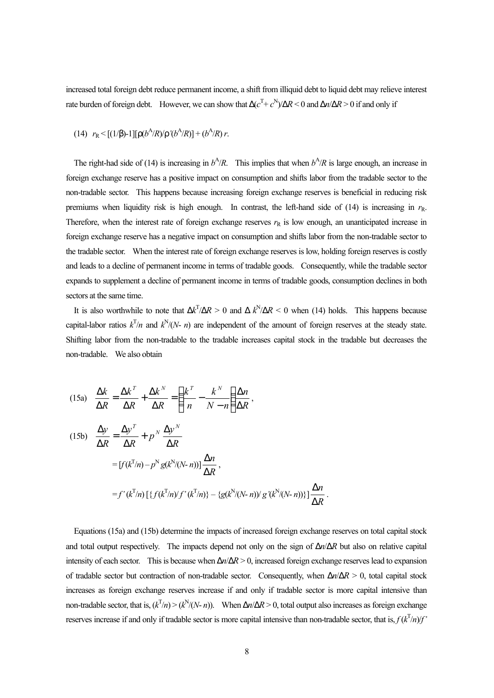increased total foreign debt reduce permanent income, a shift from illiquid debt to liquid debt may relieve interest rate burden of foreign debt. However, we can show that  $\Delta(c^T + c^N)/\Delta R < 0$  and  $\Delta n/\Delta R > 0$  if and only if

(14) 
$$
r_R < [(1/\beta)-1][\Gamma(b^A/R)/\Gamma'(b^A/R)] + (b^A/R)r
$$
.

The right-had side of (14) is increasing in  $b^A/R$ . This implies that when  $b^A/R$  is large enough, an increase in foreign exchange reserve has a positive impact on consumption and shifts labor from the tradable sector to the non-tradable sector. This happens because increasing foreign exchange reserves is beneficial in reducing risk premiums when liquidity risk is high enough. In contrast, the left-hand side of  $(14)$  is increasing in  $r<sub>R</sub>$ . Therefore, when the interest rate of foreign exchange reserves  $r<sub>R</sub>$  is low enough, an unanticipated increase in foreign exchange reserve has a negative impact on consumption and shifts labor from the non-tradable sector to the tradable sector. When the interest rate of foreign exchange reserves is low, holding foreign reserves is costly and leads to a decline of permanent income in terms of tradable goods. Consequently, while the tradable sector expands to supplement a decline of permanent income in terms of tradable goods, consumption declines in both sectors at the same time.

It is also worthwhile to note that  $\Delta k^T / \Delta R > 0$  and  $\Delta k^N / \Delta R < 0$  when (14) holds. This happens because capital-labor ratios  $k^{T}/n$  and  $k^{N}/(N-n)$  are independent of the amount of foreign reserves at the steady state. Shifting labor from the non-tradable to the tradable increases capital stock in the tradable but decreases the non-tradable. We also obtain

(15a) 
$$
\frac{\Delta k}{\Delta R} = \frac{\Delta k^T}{\Delta R} + \frac{\Delta k^N}{\Delta R} = \left(\frac{k^T}{n} - \frac{k^N}{N-n}\right)\frac{\Delta n}{\Delta R},
$$
  
\n(15b) 
$$
\frac{\Delta y}{\Delta R} = \frac{\Delta y^T}{\Delta R} + p^N \frac{\Delta y^N}{\Delta R}
$$
  
\n
$$
= [f(k^T/n) - p^N g(k^N/(N-n))] \frac{\Delta n}{\Delta R},
$$
  
\n
$$
= f'(k^T/n) [\{f(k^T/n)/f'(k^T/n)\} - \{g(k^N/(N-n))/g'(k^N/(N-n))\}] \frac{\Delta n}{\Delta R}.
$$

Equations (15a) and (15b) determine the impacts of increased foreign exchange reserves on total capital stock and total output respectively. The impacts depend not only on the sign of Δ*n*/Δ*R* but also on relative capital intensity of each sector. This is because when Δ*n*/Δ*R* > 0, increased foreign exchange reserves lead to expansion of tradable sector but contraction of non-tradable sector. Consequently, when Δ*n*/Δ*R* > 0, total capital stock increases as foreign exchange reserves increase if and only if tradable sector is more capital intensive than non-tradable sector, that is,  $(k^{T}/n)$  >  $(k^{N}/(N-n))$ . When  $\Delta n/\Delta R$  > 0, total output also increases as foreign exchange reserves increase if and only if tradable sector is more capital intensive than non-tradable sector, that is,  $f(k^T/n)/f'$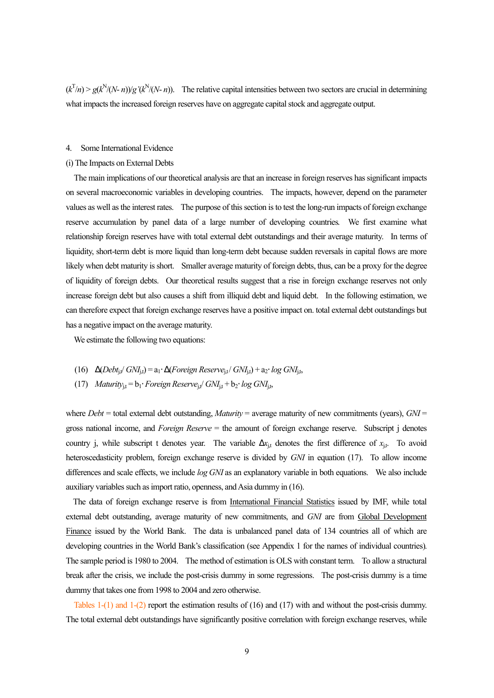$(k<sup>T</sup>/n) > g(k<sup>N</sup>/(N-n))/g'(k<sup>N</sup>/(N-n))$ . The relative capital intensities between two sectors are crucial in determining what impacts the increased foreign reserves have on aggregate capital stock and aggregate output.

## 4. Some International Evidence

### (i) The Impacts on External Debts

The main implications of our theoretical analysis are that an increase in foreign reserves has significant impacts on several macroeconomic variables in developing countries. The impacts, however, depend on the parameter values as well as the interest rates. The purpose of this section is to test the long-run impacts of foreign exchange reserve accumulation by panel data of a large number of developing countries. We first examine what relationship foreign reserves have with total external debt outstandings and their average maturity. In terms of liquidity, short-term debt is more liquid than long-term debt because sudden reversals in capital flows are more likely when debt maturity is short. Smaller average maturity of foreign debts, thus, can be a proxy for the degree of liquidity of foreign debts. Our theoretical results suggest that a rise in foreign exchange reserves not only increase foreign debt but also causes a shift from illiquid debt and liquid debt. In the following estimation, we can therefore expect that foreign exchange reserves have a positive impact on. total external debt outstandings but has a negative impact on the average maturity.

We estimate the following two equations:

- (16)  $\Delta (Debt_{j,t}/GN_{j,t}) = a_1 \cdot \Delta (Foreign Reserve_{j,t}/GN_{j,t}) + a_2 \cdot log GN_{j,t}$ ,
- (17) *Maturity*<sub>it</sub> =  $b_1$ *· Foreign Reserve*<sub>it</sub>/  $GNI_{it} + b_2$ *· log GNI*<sub>it</sub>,

where *Debt* = total external debt outstanding, *Maturity* = average maturity of new commitments (years), *GNI* = gross national income, and *Foreign Reserve* = the amount of foreign exchange reserve. Subscript j denotes country j, while subscript t denotes year. The variable  $\Delta x_{i,t}$  denotes the first difference of  $x_{i,t}$ . To avoid heteroscedasticity problem, foreign exchange reserve is divided by *GNI* in equation (17). To allow income differences and scale effects, we include *log GNI* as an explanatory variable in both equations. We also include auxiliary variables such as import ratio, openness, and Asia dummy in (16).

The data of foreign exchange reserve is from International Financial Statistics issued by IMF, while total external debt outstanding, average maturity of new commitments, and *GNI* are from Global Development Finance issued by the World Bank. The data is unbalanced panel data of 134 countries all of which are developing countries in the World Bank's classification (see Appendix 1 for the names of individual countries). The sample period is 1980 to 2004. The method of estimation is OLS with constant term. To allow a structural break after the crisis, we include the post-crisis dummy in some regressions. The post-crisis dummy is a time dummy that takes one from 1998 to 2004 and zero otherwise.

Tables 1-(1) and 1-(2) report the estimation results of (16) and (17) with and without the post-crisis dummy. The total external debt outstandings have significantly positive correlation with foreign exchange reserves, while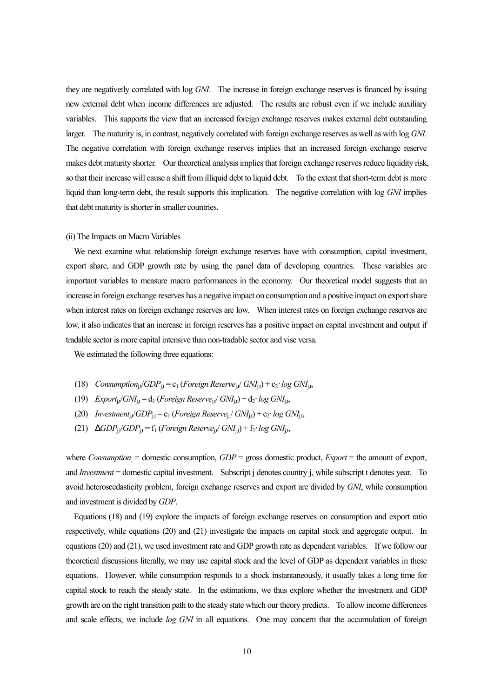they are negativetly correlated with log *GNI*. The increase in foreign exchange reserves is financed by issuing new external debt when income differences are adjusted. The results are robust even if we include auxiliary variables. This supports the view that an increased foreign exchange reserves makes external debt outstanding larger. The maturity is, in contrast, negatively correlated with foreign exchange reserves as well as with log *GNI*. The negative correlation with foreign exchange reserves implies that an increased foreign exchange reserve makes debt maturity shorter. Our theoretical analysis implies that foreign exchange reserves reduce liquidity risk, so that their increase will cause a shift from illiquid debt to liquid debt. To the extent that short-term debt is more liquid than long-term debt, the result supports this implication. The negative correlation with log *GNI* implies that debt maturity is shorter in smaller countries.

### (ii) The Impacts on Macro Variables

We next examine what relationship foreign exchange reserves have with consumption, capital investment, export share, and GDP growth rate by using the panel data of developing countries. These variables are important variables to measure macro performances in the economy. Our theoretical model suggests that an increase in foreign exchange reserves has a negative impact on consumption and a positive impact on export share when interest rates on foreign exchange reserves are low. When interest rates on foreign exchange reserves are low, it also indicates that an increase in foreign reserves has a positive impact on capital investment and output if tradable sector is more capital intensive than non-tradable sector and vise versa.

We estimated the following three equations:

- (18) *Consumption*<sub>it</sub>/*GDP*<sub>it</sub> = c<sub>1</sub> (*Foreign Reserve*<sub>it</sub>/  $GNI_{it}$ ) + c<sub>2</sub>⋅ *log GNI*<sub>it</sub>,
- (19)  $Export_{i,t}/GNI_{i,t} = d_1$  (*Foreign Reserve*<sub>it</sub>/  $GNI_{i,t}$ ) +  $d_2$ ·  $log$   $GNI_{i,t}$ ,
- (20) *Investment*<sub>it</sub>/*GDP*<sub>it</sub> =  $e_1$  (*Foreign Reserve*<sub>it</sub>/  $GNI_{i,t}$ ) +  $e_2$ · *log GNI*<sub>it</sub>,
- (21)  $DGDP_{i,t}/GDP_{i,t} = f_1$  (*Foreign Reserve*<sub>ix</sub> $\ell$  *GNI*<sub>ii</sub>) +  $f_2$ · *log GNI*<sub>ii</sub>,

where *Consumption* = domestic consumption, *GDP* = gross domestic product, *Export* = the amount of export, and *Investment* = domestic capital investment. Subscript j denotes country j, while subscript t denotes year. To avoid heteroscedasticity problem, foreign exchange reserves and export are divided by *GNI*, while consumption and investment is divided by *GDP*.

Equations (18) and (19) explore the impacts of foreign exchange reserves on consumption and export ratio respectively, while equations (20) and (21) investigate the impacts on capital stock and aggregate output. In equations (20) and (21), we used investment rate and GDP growth rate as dependent variables. If we follow our theoretical discussions literally, we may use capital stock and the level of GDP as dependent variables in these equations. However, while consumption responds to a shock instantaneously, it usually takes a long time for capital stock to reach the steady state. In the estimations, we thus explore whether the investment and GDP growth are on the right transition path to the steady state which our theory predicts. To allow income differences and scale effects, we include *log GNI* in all equations. One may concern that the accumulation of foreign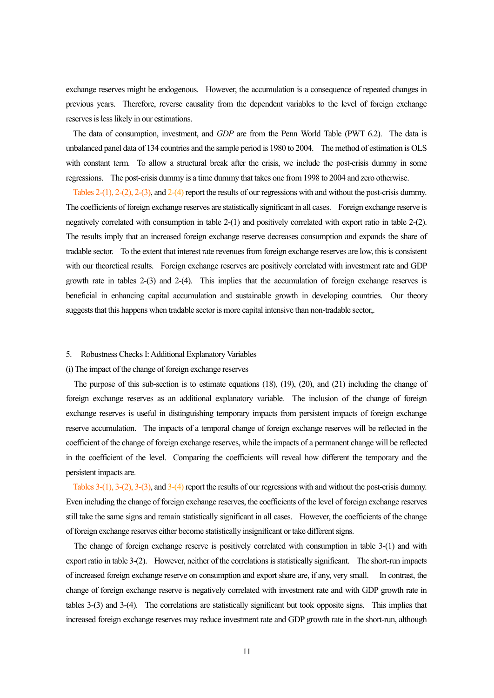exchange reserves might be endogenous. However, the accumulation is a consequence of repeated changes in previous years. Therefore, reverse causality from the dependent variables to the level of foreign exchange reserves is less likely in our estimations.

The data of consumption, investment, and *GDP* are from the Penn World Table (PWT 6.2). The data is unbalanced panel data of 134 countries and the sample period is 1980 to 2004. The method of estimation is OLS with constant term. To allow a structural break after the crisis, we include the post-crisis dummy in some regressions. The post-crisis dummy is a time dummy that takes one from 1998 to 2004 and zero otherwise.

Tables 2-(1), 2-(2), 2-(3), and 2-(4) report the results of our regressions with and without the post-crisis dummy. The coefficients of foreign exchange reserves are statistically significant in all cases. Foreign exchange reserve is negatively correlated with consumption in table 2-(1) and positively correlated with export ratio in table 2-(2). The results imply that an increased foreign exchange reserve decreases consumption and expands the share of tradable sector. To the extent that interest rate revenues from foreign exchange reserves are low, this is consistent with our theoretical results. Foreign exchange reserves are positively correlated with investment rate and GDP growth rate in tables 2-(3) and 2-(4). This implies that the accumulation of foreign exchange reserves is beneficial in enhancing capital accumulation and sustainable growth in developing countries. Our theory suggests that this happens when tradable sector is more capital intensive than non-tradable sector,.

## 5. Robustness Checks I: Additional Explanatory Variables

#### (i) The impact of the change of foreign exchange reserves

The purpose of this sub-section is to estimate equations (18), (19), (20), and (21) including the change of foreign exchange reserves as an additional explanatory variable. The inclusion of the change of foreign exchange reserves is useful in distinguishing temporary impacts from persistent impacts of foreign exchange reserve accumulation. The impacts of a temporal change of foreign exchange reserves will be reflected in the coefficient of the change of foreign exchange reserves, while the impacts of a permanent change will be reflected in the coefficient of the level. Comparing the coefficients will reveal how different the temporary and the persistent impacts are.

Tables 3-(1), 3-(2), 3-(3), and 3-(4) report the results of our regressions with and without the post-crisis dummy. Even including the change of foreign exchange reserves, the coefficients of the level of foreign exchange reserves still take the same signs and remain statistically significant in all cases. However, the coefficients of the change of foreign exchange reserves either become statistically insignificant or take different signs.

The change of foreign exchange reserve is positively correlated with consumption in table 3-(1) and with export ratio in table 3-(2). However, neither of the correlations is statistically significant. The short-run impacts of increased foreign exchange reserve on consumption and export share are, if any, very small. In contrast, the change of foreign exchange reserve is negatively correlated with investment rate and with GDP growth rate in tables 3-(3) and 3-(4). The correlations are statistically significant but took opposite signs. This implies that increased foreign exchange reserves may reduce investment rate and GDP growth rate in the short-run, although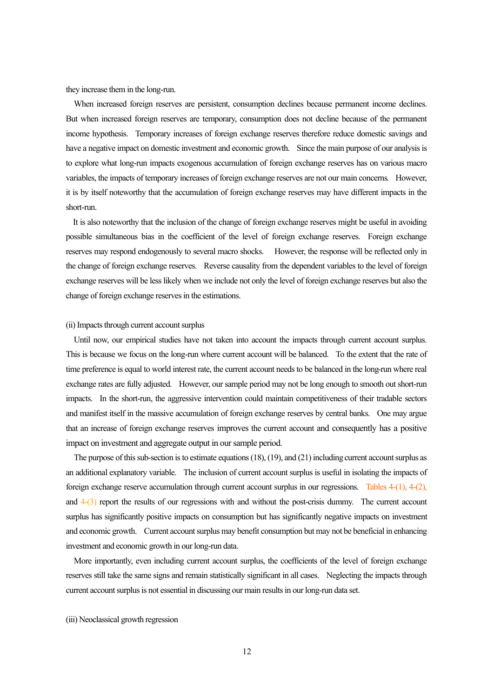they increase them in the long-run.

When increased foreign reserves are persistent, consumption declines because permanent income declines. But when increased foreign reserves are temporary, consumption does not decline because of the permanent income hypothesis. Temporary increases of foreign exchange reserves therefore reduce domestic savings and have a negative impact on domestic investment and economic growth. Since the main purpose of our analysis is to explore what long-run impacts exogenous accumulation of foreign exchange reserves has on various macro variables, the impacts of temporary increases of foreign exchange reserves are not our main concerns. However, it is by itself noteworthy that the accumulation of foreign exchange reserves may have different impacts in the short-run.

It is also noteworthy that the inclusion of the change of foreign exchange reserves might be useful in avoiding possible simultaneous bias in the coefficient of the level of foreign exchange reserves. Foreign exchange reserves may respond endogenously to several macro shocks. However, the response will be reflected only in the change of foreign exchange reserves. Reverse causality from the dependent variables to the level of foreign exchange reserves will be less likely when we include not only the level of foreign exchange reserves but also the change of foreign exchange reserves in the estimations.

#### (ii) Impacts through current account surplus

Until now, our empirical studies have not taken into account the impacts through current account surplus. This is because we focus on the long-run where current account will be balanced. To the extent that the rate of time preference is equal to world interest rate, the current account needs to be balanced in the long-run where real exchange rates are fully adjusted. However, our sample period may not be long enough to smooth out short-run impacts. In the short-run, the aggressive intervention could maintain competitiveness of their tradable sectors and manifest itself in the massive accumulation of foreign exchange reserves by central banks. One may argue that an increase of foreign exchange reserves improves the current account and consequently has a positive impact on investment and aggregate output in our sample period.

The purpose of this sub-section is to estimate equations (18), (19), and (21) including current account surplus as an additional explanatory variable. The inclusion of current account surplus is useful in isolating the impacts of foreign exchange reserve accumulation through current account surplus in our regressions. Tables 4-(1), 4-(2), and  $4-(3)$  report the results of our regressions with and without the post-crisis dummy. The current account surplus has significantly positive impacts on consumption but has significantly negative impacts on investment and economic growth. Current account surplus may benefit consumption but may not be beneficial in enhancing investment and economic growth in our long-run data.

More importantly, even including current account surplus, the coefficients of the level of foreign exchange reserves still take the same signs and remain statistically significant in all cases. Neglecting the impacts through current account surplus is not essential in discussing our main results in our long-run data set.

#### (iii) Neoclassical growth regression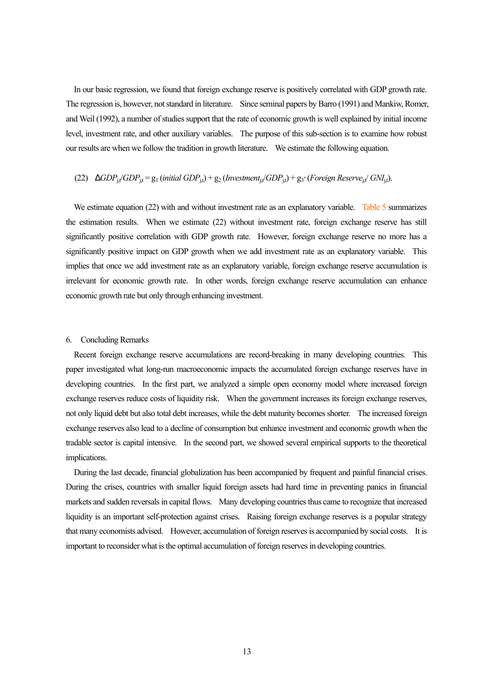In our basic regression, we found that foreign exchange reserve is positively correlated with GDP growth rate. The regression is, however, not standard in literature. Since seminal papers by Barro (1991) and Mankiw, Romer, and Weil (1992), a number of studies support that the rate of economic growth is well explained by initial income level, investment rate, and other auxiliary variables. The purpose of this sub-section is to examine how robust our results are when we follow the tradition in growth literature. We estimate the following equation.

## $(22)$  *DGDP*<sub>it</sub> $/$ *GDP*<sub>it</sub> = g<sub>1</sub> (*initial GDP*<sub>it</sub>) + g<sub>2</sub> (*Investment*<sub>it</sub> $/$ *GDP*<sub>it</sub>) + g<sub>3</sub>⋅ (*Foreign Reserve*<sub>it</sub> $/$  *GNI*<sub>it</sub>).

We estimate equation (22) with and without investment rate as an explanatory variable. Table 5 summarizes the estimation results. When we estimate (22) without investment rate, foreign exchange reserve has still significantly positive correlation with GDP growth rate. However, foreign exchange reserve no more has a significantly positive impact on GDP growth when we add investment rate as an explanatory variable. This implies that once we add investment rate as an explanatory variable, foreign exchange reserve accumulation is irrelevant for economic growth rate. In other words, foreign exchange reserve accumulation can enhance economic growth rate but only through enhancing investment.

## 6. Concluding Remarks

Recent foreign exchange reserve accumulations are record-breaking in many developing countries. This paper investigated what long-run macroeconomic impacts the accumulated foreign exchange reserves have in developing countries. In the first part, we analyzed a simple open economy model where increased foreign exchange reserves reduce costs of liquidity risk. When the government increases its foreign exchange reserves, not only liquid debt but also total debt increases, while the debt maturity becomes shorter. The increased foreign exchange reserves also lead to a decline of consumption but enhance investment and economic growth when the tradable sector is capital intensive. In the second part, we showed several empirical supports to the theoretical implications.

During the last decade, financial globalization has been accompanied by frequent and painful financial crises. During the crises, countries with smaller liquid foreign assets had hard time in preventing panics in financial markets and sudden reversals in capital flows. Many developing countries thus came to recognize that increased liquidity is an important self-protection against crises. Raising foreign exchange reserves is a popular strategy that many economists advised. However, accumulation of foreign reserves is accompanied by social costs. It is important to reconsider what is the optimal accumulation of foreign reserves in developing countries.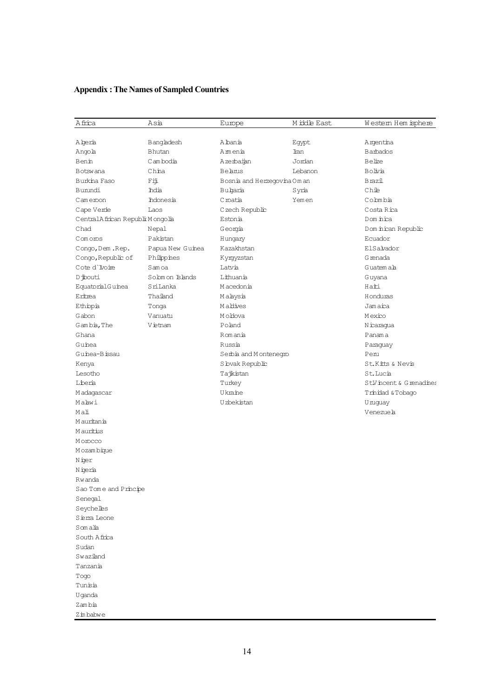# **Appendix : The Names of Sampled Countries**

| Africa                             | Asia             | Europe                      | M iddle East | Western Hem isphere    |
|------------------------------------|------------------|-----------------------------|--------------|------------------------|
|                                    |                  |                             |              |                        |
| A bera                             | Bangladesh       | Abania                      | Egypt        | Argentina              |
| Angola                             | Bhutan           | Amenia                      | Iran         | <b>Barbados</b>        |
| Benin                              | Cambodia         | Azerbaran                   | Jordan       | Belize                 |
| <b>Botswana</b>                    | China            | Belanus                     | Lebanon      | Bolivia                |
| Burkina Faso                       | Fij              | Bosnia and Herzegovina Oman |              | Brazil                 |
| Burundi                            | hdia             | Bubaria                     | Syria        | Chie                   |
| Cameroon                           | hdonesia         | C roatia                    | Yemen        | Cobmbia                |
| Cape Verde                         | Laos             | C zech Republic             |              | Costa Rical            |
| Central A frican Republix Mongolia |                  | Estonia                     |              | Dom inica              |
| Chad                               | Nepal            | Georgia                     |              | Dom nican Republic     |
| Comoros                            | Pakistan         | Hungary                     |              | Ecuador                |
| Congo, Dem. Rep.                   | Papua New Guinea | Kazakhstan                  |              | ElSalvador             |
| Congo, Republic of                 | Philippines      | Kyrgyzstan                  |              | G renada               |
| Cote d'Ivoire                      | Samoa            | Latvia                      |              | Guatemah               |
| D jbouti                           | Sobm on Islands  | Lithuania                   |              | Guyana                 |
| EquatorialGuinea                   | SriLanka         | M acedonia                  |              | Haiti                  |
| Eritrea                            | Thailand         | Malaysia                    |              | Honduras               |
| Ethiopia                           | Tonga            | Mabbiyes                    |              | Jamaica                |
| Gabon                              | Vanuatu          | M o blova                   |              | Mexico                 |
| Gambia, The                        | Vietnam          | Poland                      |              | Nicaragua              |
| Ghana                              |                  | Romania                     |              | Panama                 |
| Gunea                              |                  | Russia                      |              | Paraguay               |
| Gunea-Bissau                       |                  | Serbia and Montenegro       |              | Penı                   |
| Kenya                              |                  | S bvak Republic             |              | St.Kitts & Nevis       |
| Lesotho                            |                  | Tajikistan                  |              | St.Lucia               |
| Liberia                            |                  | Turkey                      |              | StV ncent & G renadnes |
| M adagascar                        |                  | Ukraine                     |              | Trinidad & Tobago      |
| Mabwi                              |                  | U zbekistan                 |              | U nuguay               |
| Mali                               |                  |                             |              | Venezueh               |
| M auritania                        |                  |                             |              |                        |
| M auritius                         |                  |                             |              |                        |
| M orocco                           |                  |                             |              |                        |
| M ozam bique                       |                  |                             |              |                        |
| Niger                              |                  |                             |              |                        |
| Nigeria                            |                  |                             |              |                        |
| Rwanda                             |                  |                             |              |                        |
| Sao Tome and Principe              |                  |                             |              |                        |
| Senegal                            |                  |                             |              |                        |
| Seychelles                         |                  |                             |              |                        |
| Siema Leone                        |                  |                             |              |                        |
| Somalia                            |                  |                             |              |                        |
| South Africa                       |                  |                             |              |                        |
| Sudan                              |                  |                             |              |                        |
| Swaziand                           |                  |                             |              |                        |
| Tanzania                           |                  |                             |              |                        |
| Togo                               |                  |                             |              |                        |
| Tunisia                            |                  |                             |              |                        |
| Uqanda                             |                  |                             |              |                        |
| Zambia                             |                  |                             |              |                        |
| Zinbabwe                           |                  |                             |              |                        |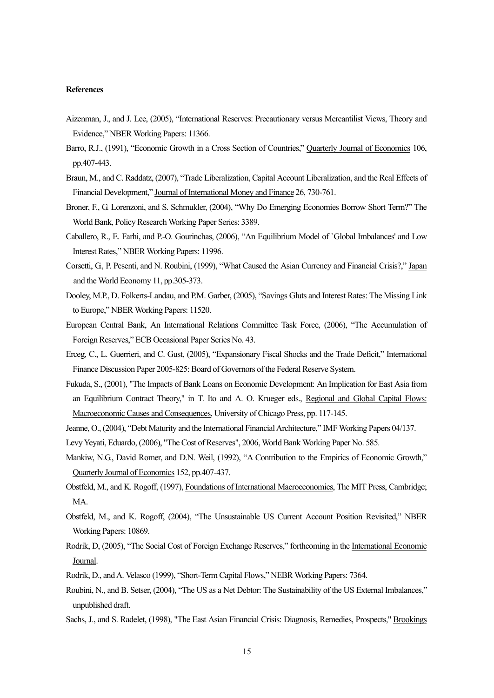## **References**

- Aizenman, J., and J. Lee, (2005), "International Reserves: Precautionary versus Mercantilist Views, Theory and Evidence," NBER Working Papers: 11366.
- Barro, R.J., (1991), "Economic Growth in a Cross Section of Countries," Quarterly Journal of Economics 106, pp.407-443.
- Braun, M., and C. Raddatz, (2007), "Trade Liberalization, Capital Account Liberalization, and the Real Effects of Financial Development," Journal of International Money and Finance 26, 730-761.
- Broner, F., G. Lorenzoni, and S. Schmukler, (2004), "Why Do Emerging Economies Borrow Short Term?" The World Bank, Policy Research Working Paper Series: 3389.
- Caballero, R., E. Farhi, and P.-O. Gourinchas, (2006), "An Equilibrium Model of `Global Imbalances' and Low Interest Rates," NBER Working Papers: 11996.
- Corsetti, G., P. Pesenti, and N. Roubini, (1999), "What Caused the Asian Currency and Financial Crisis?," Japan and the World Economy 11, pp.305-373.
- Dooley, M.P., D. Folkerts-Landau, and P.M. Garber, (2005), "Savings Gluts and Interest Rates: The Missing Link to Europe," NBER Working Papers: 11520.
- European Central Bank, An International Relations Committee Task Force, (2006), "The Accumulation of Foreign Reserves," ECB Occasional Paper Series No. 43.
- Erceg, C., L. Guerrieri, and C. Gust, (2005), "Expansionary Fiscal Shocks and the Trade Deficit," International Finance Discussion Paper 2005-825: Board of Governors of the Federal Reserve System.
- Fukuda, S., (2001), "The Impacts of Bank Loans on Economic Development: An Implication for East Asia from an Equilibrium Contract Theory," in T. Ito and A. O. Krueger eds., Regional and Global Capital Flows: Macroeconomic Causes and Consequences, University of Chicago Press, pp. 117-145.
- Jeanne, O., (2004), "Debt Maturity and the International Financial Architecture," IMF Working Papers 04/137.
- Levy Yeyati, Eduardo, (2006), "The Cost of Reserves", 2006, World Bank Working Paper No. 585.
- Mankiw, N.G., David Romer, and D.N. Weil, (1992), "A Contribution to the Empirics of Economic Growth," Quarterly Journal of Economics 152, pp.407-437.
- Obstfeld, M., and K. Rogoff, (1997), Foundations of International Macroeconomics, The MIT Press, Cambridge; MA.
- Obstfeld, M., and K. Rogoff, (2004), "The Unsustainable US Current Account Position Revisited," NBER Working Papers: 10869.
- Rodrik, D, (2005), "The Social Cost of Foreign Exchange Reserves," forthcoming in the International Economic Journal.
- Rodrik, D., and A. Velasco (1999), "Short-Term Capital Flows," NEBR Working Papers: 7364.
- Roubini, N., and B. Setser, (2004), "The US as a Net Debtor: The Sustainability of the US External Imbalances," unpublished draft.
- Sachs, J., and S. Radelet, (1998), "The East Asian Financial Crisis: Diagnosis, Remedies, Prospects," Brookings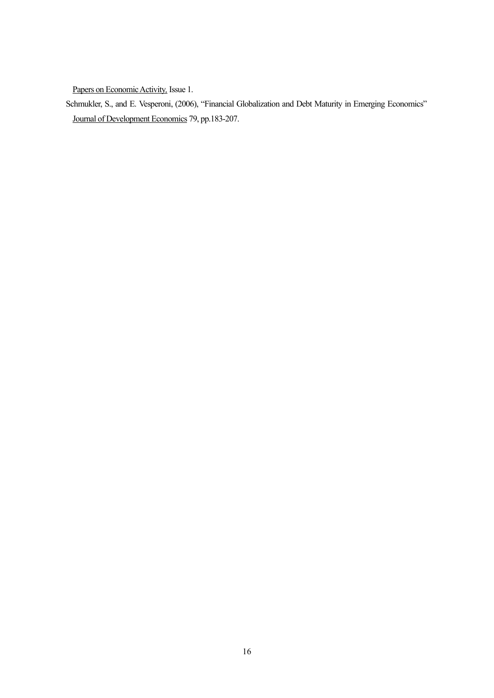Papers on Economic Activity*,* Issue 1.

Schmukler, S., and E. Vesperoni, (2006), "Financial Globalization and Debt Maturity in Emerging Economics" Journal of Development Economics 79, pp.183-207.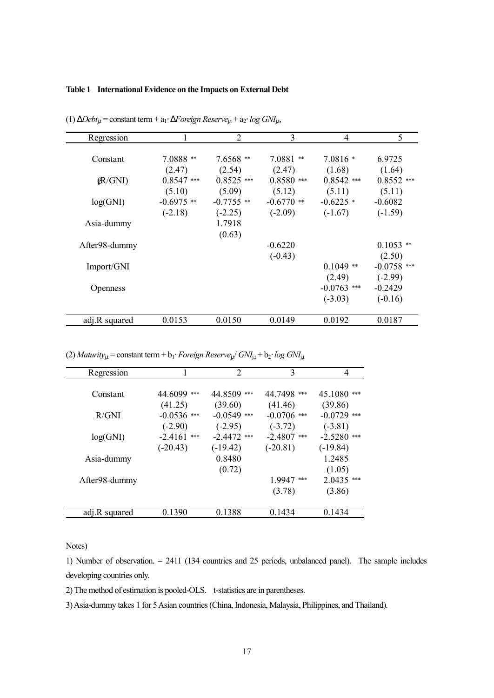## **Table 1 International Evidence on the Impacts on External Debt**

| Regression      |              | $\overline{2}$ | 3            | 4             | 5             |
|-----------------|--------------|----------------|--------------|---------------|---------------|
|                 |              |                |              |               |               |
| Constant        | $7.0888**$   | $7.6568$ **    | $7.0881**$   | $7.0816*$     | 6.9725        |
|                 | (2.47)       | (2.54)         | (2.47)       | (1.68)        | (1.64)        |
| (R/GNI)         | $0.8547$ *** | $0.8525$ ***   | $0.8580$ *** | $0.8542$ ***  | $0.8552$ ***  |
|                 | (5.10)       | (5.09)         | (5.12)       | (5.11)        | (5.11)        |
| log(GNI)        | $-0.6975$ ** | $-0.7755$ **   | $-0.6770$ ** | $-0.6225$ *   | $-0.6082$     |
|                 | $(-2.18)$    | $(-2.25)$      | $(-2.09)$    | $(-1.67)$     | $(-1.59)$     |
| Asia-dummy      |              | 1.7918         |              |               |               |
|                 |              | (0.63)         |              |               |               |
| After98-dummy   |              |                | $-0.6220$    |               | $0.1053$ **   |
|                 |              |                | $(-0.43)$    |               | (2.50)        |
| Import/GNI      |              |                |              | $0.1049$ **   | $-0.0758$ *** |
|                 |              |                |              | (2.49)        | $(-2.99)$     |
| <b>Openness</b> |              |                |              | $-0.0763$ *** | $-0.2429$     |
|                 |              |                |              | $(-3.03)$     | $(-0.16)$     |
|                 |              |                |              |               |               |
| adj.R squared   | 0.0153       | 0.0150         | 0.0149       | 0.0192        | 0.0187        |

(1) Δ*Debt*j,t = constant term + a1⋅ Δ*Foreign Reserve*j,t + a2⋅ *log GNI*j,t,

(2) *Maturity*<sub>j,t</sub> = constant term + b<sub>1</sub>⋅ *Foreign Reserve*<sub>j,t</sub>/ *GNI*<sub>j,t</sub> + b<sub>2</sub>⋅ *log GNI*<sub>j,t</sub>

| Regression    |               | $\mathcal{D}_{\mathcal{L}}$ | 3             | 4              |
|---------------|---------------|-----------------------------|---------------|----------------|
|               |               |                             |               |                |
| Constant      | 44.6099 ***   | 44.8509 ***                 | 44.7498 ***   | 45.1080<br>*** |
|               | (41.25)       | (39.60)                     | (41.46)       | (39.86)        |
| R/GNI         | $-0.0536$ *** | $-0.0549$ ***               | $-0.0706$ *** | $-0.0729$ ***  |
|               | $(-2.90)$     | $(-2.95)$                   | $(-3.72)$     | $(-3.81)$      |
| log(GNI)      | $-2.4161$ *** | $-2.4472$ ***               | $-2.4807$ *** | $-2.5280$ ***  |
|               | $(-20.43)$    | $(-19.42)$                  | $(-20.81)$    | $(-19.84)$     |
| Asia-dummy    |               | 0.8480                      |               | 1.2485         |
|               |               | (0.72)                      |               | (1.05)         |
| After98-dummy |               |                             | 1.9947 ***    | $2.0435$ ***   |
|               |               |                             | (3.78)        | (3.86)         |
|               |               |                             |               |                |
| adj.R squared | 0.1390        | 0.1388                      | 0.1434        | 0.1434         |
|               |               |                             |               |                |

Notes)

1) Number of observation. = 2411 (134 countries and 25 periods, unbalanced panel). The sample includes developing countries only.

2) The method of estimation is pooled-OLS. t-statistics are in parentheses.

3) Asia-dummy takes 1 for 5 Asian countries (China, Indonesia, Malaysia, Philippines, and Thailand).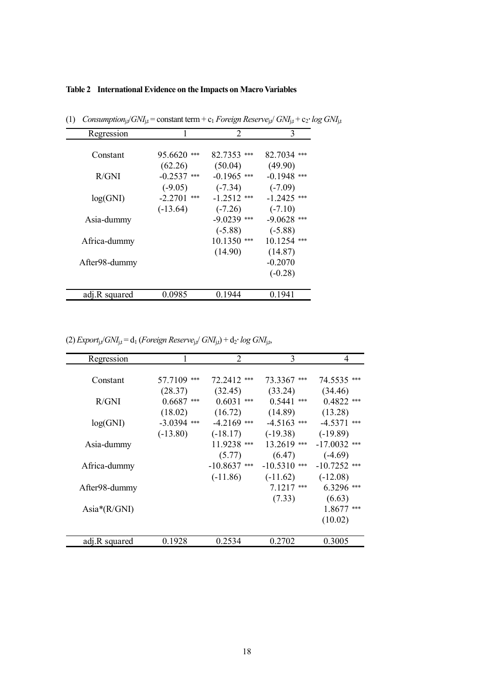## **Table 2 International Evidence on the Impacts on Macro Variables**

| Regression    |               | $\overline{2}$ | 3             |
|---------------|---------------|----------------|---------------|
| Constant      | $95.6620$ *** | 82.7353 ***    | 82.7034 ***   |
|               | (62.26)       | (50.04)        | (49.90)       |
| R/GNI         | $-0.2537$ *** | $-0.1965$ ***  | $-0.1948$ *** |
|               | $(-9.05)$     | $(-7.34)$      | $(-7.09)$     |
| log(GNI)      | $-2.2701$ *** | $-1.2512$ ***  | $-1.2425$ *** |
|               | $(-13.64)$    | $(-7.26)$      | $(-7.10)$     |
| Asia-dummy    |               | $-9.0239$ ***  | $-9.0628$ *** |
|               |               | $(-5.88)$      | $(-5.88)$     |
| Africa-dummy  |               | $10.1350$ ***  | $10.1254$ *** |
|               |               | (14.90)        | (14.87)       |
| After98-dummy |               |                | $-0.2070$     |
|               |               |                | $(-0.28)$     |
| adj.R squared | 0.0985        | 0.1944         | 0.1941        |

(1) *Consumption*<sub>j,t</sub> $/$ *GNI*<sub>j,t</sub> = constant term + c<sub>1</sub> *Foreign Reserve*<sub>j,t</sub> $/$  *GNI*<sub>j,t</sub> + c<sub>2</sub>⋅ *log GNI*<sub>j,t</sub>

(2)  $\text{Export}_{j,t}/\text{GNI}_{j,t} = d_1$  (*Foreign Reserve*<sub>j,t</sub>/  $\text{GNI}_{j,t}$ ) +  $d_2$ ·  $\log$   $\text{GNI}_{j,t}$ ,

|                   |               | $\overline{2}$ | 3              | 4              |
|-------------------|---------------|----------------|----------------|----------------|
| <b>Regression</b> |               |                |                |                |
|                   |               |                |                |                |
| Constant          | 57.7109 ***   | 72.2412 ***    | 73.3367 ***    | 74.5535 ***    |
|                   | (28.37)       | (32.45)        | (33.24)        | (34.46)        |
| R/GNI             | $0.6687$ ***  | $0.6031$ ***   | $0.5441$ ***   | $0.4822$ ***   |
|                   | (18.02)       | (16.72)        | (14.89)        | (13.28)        |
| log(GNI)          | $-3.0394$ *** | $-4.2169$ ***  | $-4.5163$ ***  | $-4.5371$ ***  |
|                   | $(-13.80)$    | $(-18.17)$     | $(-19.38)$     | $(-19.89)$     |
| Asia-dummy        |               | 11.9238 ***    | $13.2619$ ***  | $-17.0032$ *** |
|                   |               | (5.77)         | (6.47)         | $(-4.69)$      |
| Africa-dummy      |               | $-10.8637$ *** | $-10.5310$ *** | $-10.7252$ *** |
|                   |               | $(-11.86)$     | $(-11.62)$     | $(-12.08)$     |
| After98-dummy     |               |                | $7.1217$ ***   | $6.3296$ ***   |
|                   |               |                | (7.33)         | (6.63)         |
| Asia $*(R/GNI)$   |               |                |                | $1.8677$ ***   |
|                   |               |                |                | (10.02)        |
|                   |               |                |                |                |
| adj.R squared     | 0.1928        | 0.2534         | 0.2702         | 0.3005         |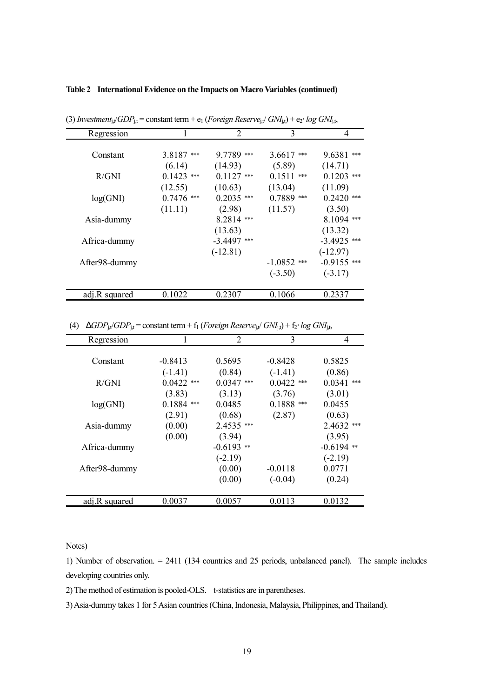## **Table 2 International Evidence on the Impacts on Macro Variables (continued)**

| Regression    |              | 2             | 3             | 4               |
|---------------|--------------|---------------|---------------|-----------------|
|               |              |               |               |                 |
| Constant      | 3.8187***    | $9.7789$ ***  | $3.6617$ ***  | 9.6381<br>$***$ |
|               | (6.14)       | (14.93)       | (5.89)        | (14.71)         |
| R/GNI         | $0.1423$ *** | $0.1127$ ***  | $0.1511$ ***  | $0.1203$ ***    |
|               | (12.55)      | (10.63)       | (13.04)       | (11.09)         |
| log(GNI)      | $0.7476$ *** | $0.2035$ ***  | $0.7889$ ***  | $0.2420$ ***    |
|               | (11.11)      | (2.98)        | (11.57)       | (3.50)          |
| Asia-dummy    |              | $8.2814$ ***  |               | $8.1094$ ***    |
|               |              | (13.63)       |               | (13.32)         |
| Africa-dummy  |              | $-3.4497$ *** |               | $-3.4925$ ***   |
|               |              | $(-12.81)$    |               | $(-12.97)$      |
| After98-dummy |              |               | $-1.0852$ *** | $-0.9155$ ***   |
|               |              |               | $(-3.50)$     | $(-3.17)$       |
|               |              |               |               |                 |
| adj.R squared | 0.1022       | 0.2307        | 0.1066        | 0.2337          |

 $(3)$  *Investment*<sub>i</sub>, $\sqrt{GDP_{it}}$  = constant term + e<sub>1</sub> (*Foreign Reserve*<sub>i</sub>, $\sqrt{GNI_{it}}$ ) + e<sub>2</sub>⋅ *log GNI*<sub>it</sub>,

(4)  $DGDP_{j,t}/GDP_{j,t} = \text{constant term} + f_1 \left( \text{Foreign Reserve}_{j,t} / \text{G}N \right) + f_2 \cdot \log \text{G}N \right)$ 

| Regression    |              | $\overline{2}$ | 3            | 4             |
|---------------|--------------|----------------|--------------|---------------|
|               |              |                |              |               |
| Constant      | $-0.8413$    | 0.5695         | $-0.8428$    | 0.5825        |
|               | $(-1.41)$    | (0.84)         | $(-1.41)$    | (0.86)        |
| R/GNI         | $0.0422$ *** | $0.0347$ ***   | $0.0422$ *** | 0.0341<br>*** |
|               | (3.83)       | (3.13)         | (3.76)       | (3.01)        |
| log(GNI)      | $0.1884$ *** | 0.0485         | $0.1888$ *** | 0.0455        |
|               | (2.91)       | (0.68)         | (2.87)       | (0.63)        |
| Asia-dummy    | (0.00)       | 2.4535 ***     |              | $2.4632$ ***  |
|               | (0.00)       | (3.94)         |              | (3.95)        |
| Africa-dummy  |              | $-0.6193$ **   |              | $-0.6194$ **  |
|               |              | $(-2.19)$      |              | $(-2.19)$     |
| After98-dummy |              | (0.00)         | $-0.0118$    | 0.0771        |
|               |              | (0.00)         | $(-0.04)$    | (0.24)        |
|               |              |                |              |               |
| adj.R squared | 0.0037       | 0.0057         | 0.0113       | 0.0132        |
|               |              |                |              |               |

Notes)

1) Number of observation. = 2411 (134 countries and 25 periods, unbalanced panel). The sample includes developing countries only.

2) The method of estimation is pooled-OLS. t-statistics are in parentheses.

3) Asia-dummy takes 1 for 5 Asian countries (China, Indonesia, Malaysia, Philippines, and Thailand).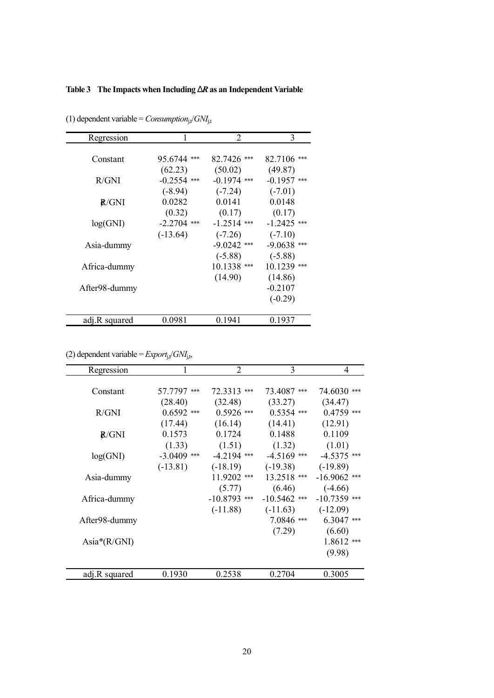# **Table 3 The Impacts when Including** *DR* **as an Independent Variable**

| 1             | 2                                                                           | 3                                                                                                    |
|---------------|-----------------------------------------------------------------------------|------------------------------------------------------------------------------------------------------|
|               |                                                                             |                                                                                                      |
|               | 82.7426 ***                                                                 | 82.7106 ***                                                                                          |
| (62.23)       | (50.02)                                                                     | (49.87)                                                                                              |
| $-0.2554$ *** | $-0.1974$ ***                                                               | $-0.1957$ ***                                                                                        |
|               |                                                                             | $(-7.01)$                                                                                            |
| 0.0282        | 0.0141                                                                      | 0.0148                                                                                               |
|               |                                                                             | (0.17)                                                                                               |
|               | $-1.2514$ ***                                                               | $-1.2425$ ***                                                                                        |
|               |                                                                             | $(-7.10)$                                                                                            |
|               |                                                                             | $-9.0638$ ***                                                                                        |
|               |                                                                             | $(-5.88)$                                                                                            |
|               |                                                                             | $10.1239$ ***                                                                                        |
|               |                                                                             | (14.86)                                                                                              |
|               |                                                                             | $-0.2107$                                                                                            |
|               |                                                                             | $(-0.29)$                                                                                            |
|               |                                                                             |                                                                                                      |
|               |                                                                             | 0.1937                                                                                               |
|               | 95.6744 ***<br>$(-8.94)$<br>(0.32)<br>$-2.2704$ ***<br>$(-13.64)$<br>0.0981 | $(-7.24)$<br>(0.17)<br>$(-7.26)$<br>$-9.0242$ ***<br>$(-5.88)$<br>$10.1338$ ***<br>(14.90)<br>0.1941 |

(1) dependent variable =  $\textit{Consumption}_{j,t}/\textit{GNI}_{j,t}$ 

(2) dependent variable =  $\text{Export}_{j,t}/\text{GNI}_{j,t}$ ,

| Regression      |               | $\overline{2}$ | 3              | 4              |
|-----------------|---------------|----------------|----------------|----------------|
| Constant        | 57.7797 ***   | 72.3313 ***    | 73.4087 ***    | 74.6030 ***    |
|                 | (28.40)       | (32.48)        | (33.27)        | (34.47)        |
| R/GNI           | $0.6592$ ***  | $0.5926$ ***   | $0.5354$ ***   | $0.4759$ ***   |
|                 | (17.44)       | (16.14)        | (14.41)        | (12.91)        |
| R/GNI           | 0.1573        | 0.1724         | 0.1488         | 0.1109         |
|                 | (1.33)        | (1.51)         | (1.32)         | (1.01)         |
| log(GNI)        | $-3.0409$ *** | $-4.2194$ ***  | $-4.5169$ ***  | $-4.5375$ ***  |
|                 | $(-13.81)$    | $(-18.19)$     | $(-19.38)$     | $(-19.89)$     |
| Asia-dummy      |               | $11.9202$ ***  | 13.2518 ***    | $-16.9062$ *** |
|                 |               | (5.77)         | (6.46)         | $(-4.66)$      |
| Africa-dummy    |               | $-10.8793$ *** | $-10.5462$ *** | $-10.7359$ *** |
|                 |               | $(-11.88)$     | $(-11.63)$     | $(-12.09)$     |
| After98-dummy   |               |                | $7.0846$ ***   | $6.3047$ ***   |
|                 |               |                | (7.29)         | (6.60)         |
| Asia $*(R/GNI)$ |               |                |                | $1.8612$ ***   |
|                 |               |                |                | (9.98)         |
| adj.R squared   | 0.1930        | 0.2538         | 0.2704         | 0.3005         |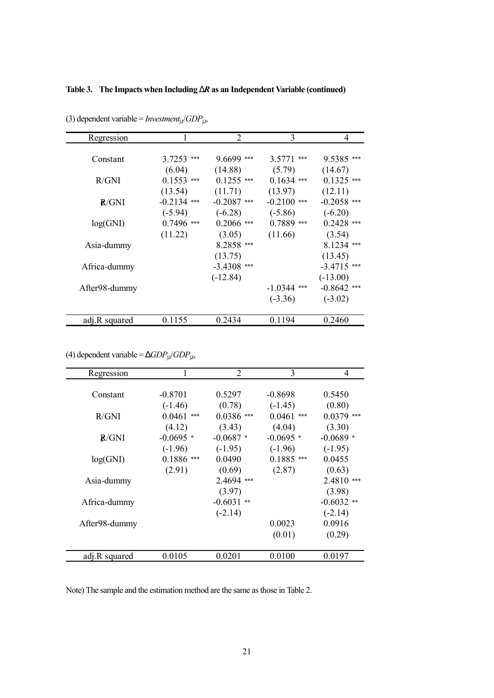## **Table 3. The Impacts when Including** *DR* **as an Independent Variable (continued)**

| <b>Regression</b> |               | 2             | 3             | 4             |
|-------------------|---------------|---------------|---------------|---------------|
|                   |               |               |               |               |
| Constant          | $3.7253$ ***  | $9.6699$ ***  | $3.5771$ ***  | $9.5385$ ***  |
|                   | (6.04)        | (14.88)       | (5.79)        | (14.67)       |
| R/GNI             | $0.1553$ ***  | $0.1255$ ***  | $0.1634$ ***  | $0.1325$ ***  |
|                   | (13.54)       | (11.71)       | (13.97)       | (12.11)       |
| R/GNI             | $-0.2134$ *** | $-0.2087$ *** | $-0.2100$ *** | $-0.2058$ *** |
|                   | $(-5.94)$     | $(-6.28)$     | $(-5.86)$     | $(-6.20)$     |
| log(GNI)          | $0.7496$ ***  | $0.2066$ ***  | $0.7889$ ***  | $0.2428$ ***  |
|                   | (11.22)       | (3.05)        | (11.66)       | (3.54)        |
| Asia-dummy        |               | 8.2858 ***    |               | $8.1234$ ***  |
|                   |               | (13.75)       |               | (13.45)       |
| Africa-dummy      |               | $-3.4308$ *** |               | $-3.4715$ *** |
|                   |               | $(-12.84)$    |               | $(-13.00)$    |
| After98-dummy     |               |               | $-1.0344$ *** | $-0.8642$ *** |
|                   |               |               | $(-3.36)$     | $(-3.02)$     |
|                   |               |               |               |               |
| adj.R squared     | 0.1155        | 0.2434        | 0.1194        | 0.2460        |

(3) dependent variable = *Investment*j,t/*GDP*j,t,

(4) dependent variable =  $DGDP_{j,t}/GDP_{j,t}$ ,

| Regression    |              | $\overline{2}$  | 3            | 4            |
|---------------|--------------|-----------------|--------------|--------------|
|               |              |                 |              |              |
| Constant      | $-0.8701$    | 0.5297          | $-0.8698$    | 0.5450       |
|               | $(-1.46)$    | (0.78)          | $(-1.45)$    | (0.80)       |
| R/GNI         | $0.0461$ *** | $0.0386$ ***    | $0.0461$ *** | $0.0379$ *** |
|               | (4.12)       | (3.43)          | (4.04)       | (3.30)       |
| R/GNI         | $-0.0695$ *  | $-0.0687*$      | $-0.0695*$   | $-0.0689*$   |
|               | $(-1.96)$    | $(-1.95)$       | $(-1.96)$    | $(-1.95)$    |
| log(GNI)      | $0.1886$ *** | 0.0490          | $0.1885$ *** | 0.0455       |
|               | (2.91)       | (0.69)          | (2.87)       | (0.63)       |
| Asia-dummy    |              | $2.4694$ ***    |              | 2.4810 ***   |
|               |              | (3.97)          |              | (3.98)       |
| Africa-dummy  |              | $-0.6031$<br>** |              | $-0.6032$ ** |
|               |              | $(-2.14)$       |              | $(-2.14)$    |
| After98-dummy |              |                 | 0.0023       | 0.0916       |
|               |              |                 | (0.01)       | (0.29)       |
|               |              |                 |              |              |
| adj.R squared | 0.0105       | 0.0201          | 0.0100       | 0.0197       |

Note) The sample and the estimation method are the same as those in Table 2.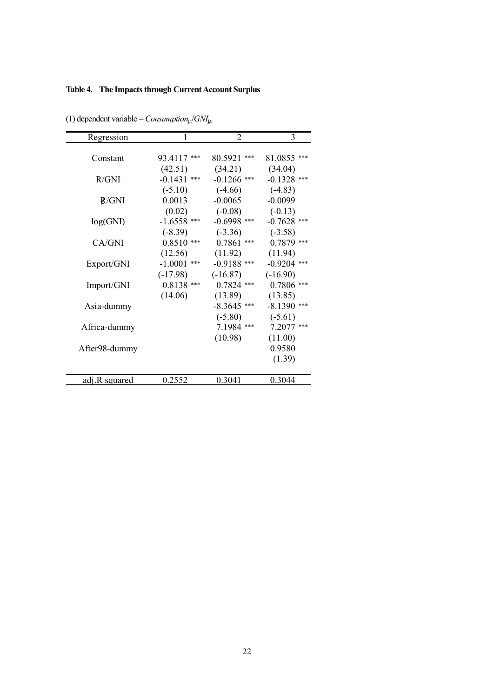# **Table 4. The Impacts through Current Account Surplus**

| Regression    | $\mathbf{1}$  | $\overline{2}$ | 3             |
|---------------|---------------|----------------|---------------|
| Constant      | 93.4117***    | 80.5921 ***    | 81.0855 ***   |
|               | (42.51)       | (34.21)        | (34.04)       |
| R/GNI         | $-0.1431$ *** | $-0.1266$ ***  | $-0.1328$ *** |
|               | $(-5.10)$     | $(-4.66)$      | $(-4.83)$     |
| <b>R/GNI</b>  | 0.0013        | $-0.0065$      | $-0.0099$     |
|               | (0.02)        | $(-0.08)$      | $(-0.13)$     |
| log(GNI)      | $-1.6558$ *** | $-0.6998$ ***  | $-0.7628$ *** |
|               | $(-8.39)$     | $(-3.36)$      | $(-3.58)$     |
| CA/GNI        | $0.8510$ ***  | $0.7861$ ***   | $0.7879$ ***  |
|               | (12.56)       | (11.92)        | (11.94)       |
| Export/GNI    | $-1.0001$ *** | $-0.9188$ ***  | $-0.9204$ *** |
|               | $(-17.98)$    | $(-16.87)$     | $(-16.90)$    |
| Import/GNI    | $0.8138$ ***  | $0.7824$ ***   | $0.7806$ ***  |
|               | (14.06)       | (13.89)        | (13.85)       |
| Asia-dummy    |               | $-8.3645$ ***  | $-8.1390$ *** |
|               |               | $(-5.80)$      | $(-5.61)$     |
| Africa-dummy  |               | 7.1984 ***     | 7.2077 ***    |
|               |               | (10.98)        | (11.00)       |
| After98-dummy |               |                | 0.9580        |
|               |               |                | (1.39)        |
| adj.R squared | 0.2552        | 0.3041         | 0.3044        |

(1) dependent variable =  $\text{Consumption}_{j,t}/\text{GNI}_{j,t}$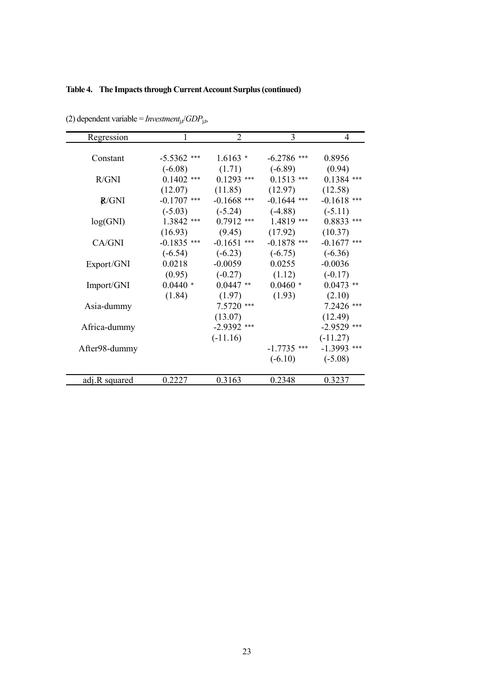# **Table 4. The Impacts through Current Account Surplus (continued)**

| Regression    |               | 2                | 3             | 4             |
|---------------|---------------|------------------|---------------|---------------|
|               |               |                  |               |               |
| Constant      | $-5.5362$ *** | $1.6163*$        | $-6.2786$ *** | 0.8956        |
|               | $(-6.08)$     | (1.71)           | $(-6.89)$     | (0.94)        |
| R/GNI         | $0.1402$ ***  | $0.1293$ ***     | $0.1513$ ***  | $0.1384$ ***  |
|               | (12.07)       | (11.85)          | (12.97)       | (12.58)       |
| R/GNI         | $-0.1707$ *** | $-0.1668$ ***    | $-0.1644$ *** | $-0.1618$ *** |
|               | $(-5.03)$     | $(-5.24)$        | $(-4.88)$     | $(-5.11)$     |
| log(GNI)      | 1.3842 ***    | $0.7912$ ***     | 1.4819 ***    | $0.8833$ ***  |
|               | (16.93)       | (9.45)           | (17.92)       | (10.37)       |
| CA/GNI        | $-0.1835$ *** | $-0.1651$<br>*** | $-0.1878$ *** | $-0.1677$ *** |
|               | $(-6.54)$     | $(-6.23)$        | $(-6.75)$     | $(-6.36)$     |
| Export/GNI    | 0.0218        | $-0.0059$        | 0.0255        | $-0.0036$     |
|               | (0.95)        | $(-0.27)$        | (1.12)        | $(-0.17)$     |
| Import/GNI    | $0.0440*$     | $0.0447**$       | $0.0460*$     | $0.0473**$    |
|               | (1.84)        | (1.97)           | (1.93)        | (2.10)        |
| Asia-dummy    |               | $7.5720$ ***     |               | 7.2426 ***    |
|               |               | (13.07)          |               | (12.49)       |
| Africa-dummy  |               | $-2.9392$ ***    |               | $-2.9529$ *** |
|               |               | $(-11.16)$       |               | $(-11.27)$    |
| After98-dummy |               |                  | $-1.7735$ *** | $-1.3993$ *** |
|               |               |                  | $(-6.10)$     | $(-5.08)$     |
|               |               |                  |               |               |
| adj.R squared | 0.2227        | 0.3163           | 0.2348        | 0.3237        |

(2) dependent variable =  $\text{Investment}_{j,t}/GDP_{j,t}$ ,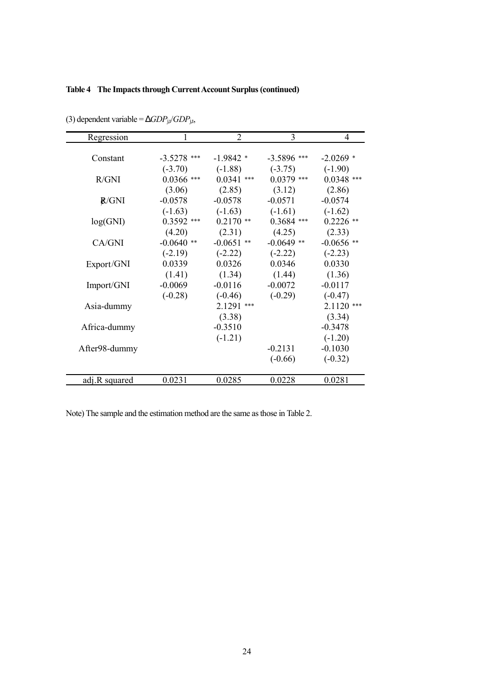## **Table 4 The Impacts through Current Account Surplus(continued)**

| Regression    | 1                         | $\overline{2}$               | 3                         | 4                         |
|---------------|---------------------------|------------------------------|---------------------------|---------------------------|
| Constant      |                           | $-1.9842*$                   |                           |                           |
|               | $-3.5278$ ***             |                              | $-3.5896$ ***             | $-2.0269$ *               |
| R/GNI         | $(-3.70)$<br>$0.0366$ *** | $(-1.88)$<br>0.0341<br>$***$ | $(-3.75)$<br>$0.0379$ *** | $(-1.90)$<br>$0.0348$ *** |
|               |                           |                              |                           |                           |
|               | (3.06)<br>$-0.0578$       | (2.85)<br>$-0.0578$          | (3.12)<br>$-0.0571$       | (2.86)<br>$-0.0574$       |
| <b>R/GNI</b>  |                           |                              |                           |                           |
|               | $(-1.63)$                 | $(-1.63)$                    | $(-1.61)$                 | $(-1.62)$                 |
| log(GNI)      | $0.3592$ ***              | $0.2170**$                   | $0.3684$ ***              | $0.2226$ **               |
|               | (4.20)                    | (2.31)                       | (4.25)                    | (2.33)                    |
| CA/GNI        | $-0.0640$ **              | $-0.0651$ **                 | $-0.0649$ **              | $-0.0656$ **              |
|               | $(-2.19)$                 | $(-2.22)$                    | $(-2.22)$                 | $(-2.23)$                 |
| Export/GNI    | 0.0339                    | 0.0326                       | 0.0346                    | 0.0330                    |
|               | (1.41)                    | (1.34)                       | (1.44)                    | (1.36)                    |
| Import/GNI    | $-0.0069$                 | $-0.0116$                    | $-0.0072$                 | $-0.0117$                 |
|               | $(-0.28)$                 | $(-0.46)$                    | $(-0.29)$                 | $(-0.47)$                 |
| Asia-dummy    |                           | 2.1291<br>***                |                           | $2.1120$ ***              |
|               |                           | (3.38)                       |                           | (3.34)                    |
| Africa-dummy  |                           | $-0.3510$                    |                           | $-0.3478$                 |
|               |                           | $(-1.21)$                    |                           | $(-1.20)$                 |
| After98-dummy |                           |                              | $-0.2131$                 | $-0.1030$                 |
|               |                           |                              | $(-0.66)$                 | $(-0.32)$                 |
|               |                           |                              |                           |                           |
| adj.R squared | 0.0231                    | 0.0285                       | 0.0228                    | 0.0281                    |

(3) dependent variable =  $DGDP_{j,t}/GDP_{j,t}$ ,

Note) The sample and the estimation method are the same as those in Table 2.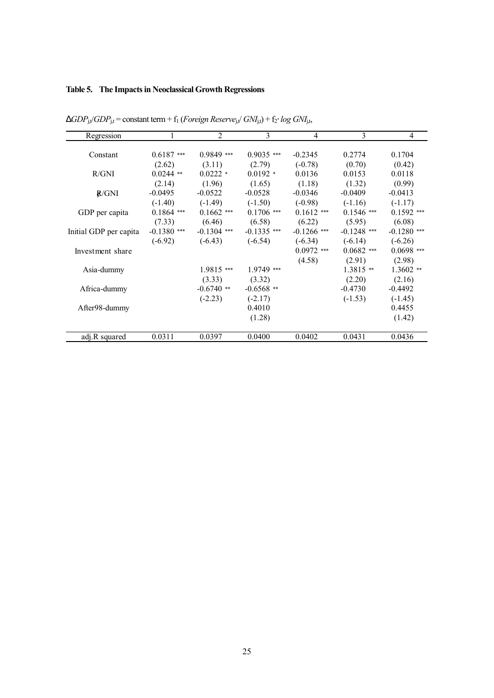# **Table 5. The Impacts in Neoclassical Growth Regressions**

| Regression             |               | $\mathfrak{D}$ | 3             | 4             | 3             | 4             |
|------------------------|---------------|----------------|---------------|---------------|---------------|---------------|
| Constant               | $0.6187$ ***  | $0.9849$ ***   | $0.9035$ ***  | $-0.2345$     | 0.2774        | 0.1704        |
|                        | (2.62)        | (3.11)         | (2.79)        | $(-0.78)$     | (0.70)        | (0.42)        |
| R/GNI                  | $0.0244$ **   | $0.0222$ *     | $0.0192 *$    | 0.0136        | 0.0153        | 0.0118        |
|                        | (2.14)        | (1.96)         | (1.65)        | (1.18)        | (1.32)        | (0.99)        |
| R/GNI                  | $-0.0495$     | $-0.0522$      | $-0.0528$     | $-0.0346$     | $-0.0409$     | $-0.0413$     |
|                        | $(-1.40)$     | $(-1.49)$      | $(-1.50)$     | $(-0.98)$     | $(-1.16)$     | $(-1.17)$     |
| GDP per capita         | $0.1864$ ***  | $0.1662$ ***   | $0.1706$ ***  | $0.1612$ ***  | $0.1546$ ***  | $0.1592$ ***  |
|                        | (7.33)        | (6.46)         | (6.58)        | (6.22)        | (5.95)        | (6.08)        |
| Initial GDP per capita | $-0.1380$ *** | $-0.1304$ ***  | $-0.1335$ *** | $-0.1266$ *** | $-0.1248$ *** | $-0.1280$ *** |
|                        | $(-6.92)$     | $(-6.43)$      | $(-6.54)$     | $(-6.34)$     | $(-6.14)$     | $(-6.26)$     |
| Investment share       |               |                |               | $0.0972$ ***  | $0.0682$ ***  | $0.0698$ ***  |
|                        |               |                |               | (4.58)        | (2.91)        | (2.98)        |
| Asia-dummy             |               | $1.9815$ ***   | 1.9749 ***    |               | $1.3815$ **   | $1.3602$ **   |
|                        |               | (3.33)         | (3.32)        |               | (2.20)        | (2.16)        |
| Africa-dummy           |               | $-0.6740$ **   | $-0.6568$ **  |               | $-0.4730$     | $-0.4492$     |
|                        |               | $(-2.23)$      | $(-2.17)$     |               | $(-1.53)$     | $(-1.45)$     |
| After98-dummy          |               |                | 0.4010        |               |               | 0.4455        |
|                        |               |                | (1.28)        |               |               | (1.42)        |
| adj.R squared          | 0.0311        | 0.0397         | 0.0400        | 0.0402        | 0.0431        | 0.0436        |

 $DGDP_{j,t}$ /*GDP*<sub>j,t</sub> = constant term + f<sub>1</sub> (*Foreign Reserve*<sub>j,t</sub>/ *GNI*<sub>j,t</sub>) + f<sub>2</sub>⋅ *log GNI*<sub>j,t</sub>,